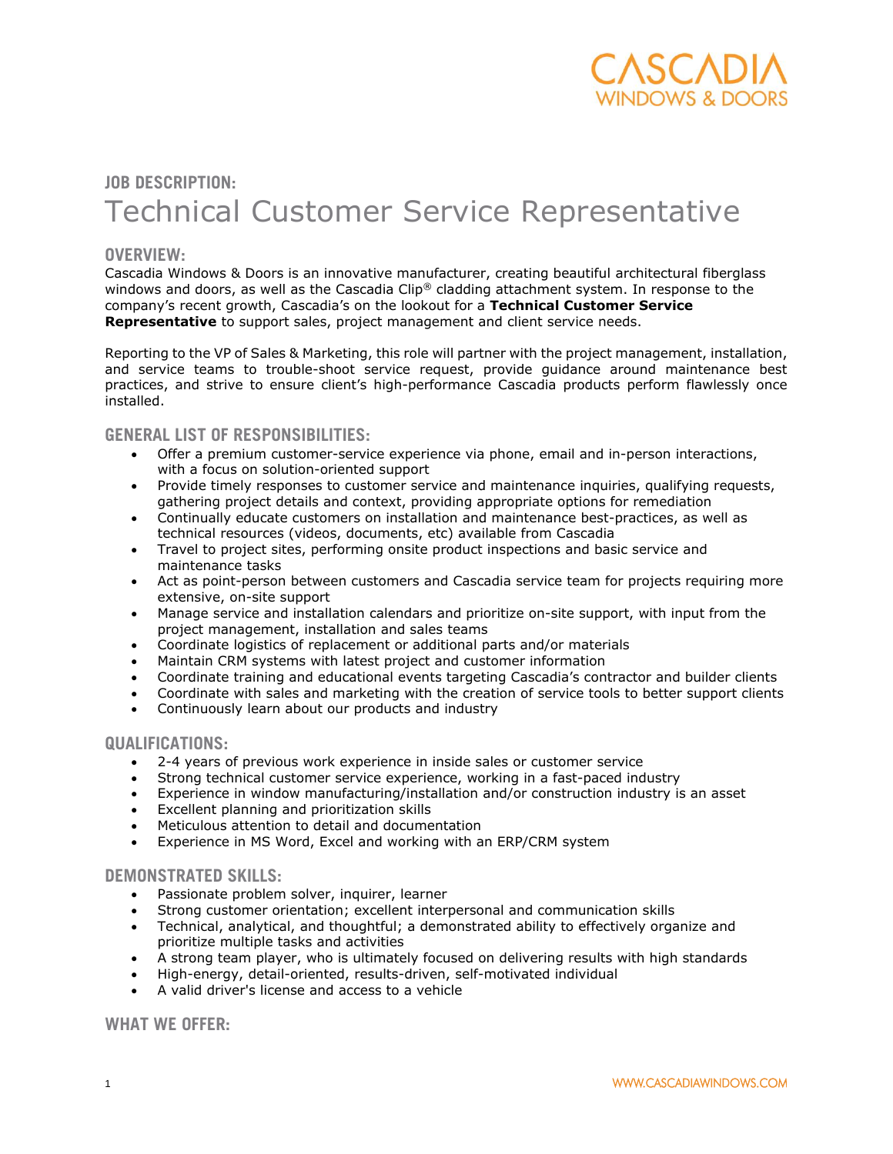

# **JOB DESCRIPTION:** Technical Customer Service Representative

## **OVERVIEW:**

Cascadia Windows & Doors is an innovative manufacturer, creating beautiful architectural fiberglass windows and doors, as well as the Cascadia Clip® cladding attachment system. In response to the company's recent growth, Cascadia's on the lookout for a **Technical Customer Service Representative** to support sales, project management and client service needs.

Reporting to the VP of Sales & Marketing, this role will partner with the project management, installation, and service teams to trouble-shoot service request, provide guidance around maintenance best practices, and strive to ensure client's high-performance Cascadia products perform flawlessly once installed.

### **GENERAL LIST OF RESPONSIBILITIES:**

- Offer a premium customer-service experience via phone, email and in-person interactions, with a focus on solution-oriented support
- Provide timely responses to customer service and maintenance inquiries, qualifying requests, gathering project details and context, providing appropriate options for remediation
- Continually educate customers on installation and maintenance best-practices, as well as technical resources (videos, documents, etc) available from Cascadia
- Travel to project sites, performing onsite product inspections and basic service and maintenance tasks
- Act as point-person between customers and Cascadia service team for projects requiring more extensive, on-site support
- Manage service and installation calendars and prioritize on-site support, with input from the project management, installation and sales teams
- Coordinate logistics of replacement or additional parts and/or materials
- Coordinate registres of representative or a material distribution Maintain CRM systems with latest project and customer information
- Coordinate training and educational events targeting Cascadia's contractor and builder clients
- Coordinate with sales and marketing with the creation of service tools to better support clients
- Continuously learn about our products and industry

#### **QUALIFICATIONS:**

- 2-4 years of previous work experience in inside sales or customer service
- Strong technical customer service experience, working in a fast-paced industry
- Experience in window manufacturing/installation and/or construction industry is an asset
- Excellent planning and prioritization skills
- Meticulous attention to detail and documentation
- Experience in MS Word, Excel and working with an ERP/CRM system

## **DEMONSTRATED SKILLS:**

- Passionate problem solver, inquirer, learner
- Strong customer orientation; excellent interpersonal and communication skills
- Technical, analytical, and thoughtful; a demonstrated ability to effectively organize and prioritize multiple tasks and activities
- A strong team player, who is ultimately focused on delivering results with high standards
- High-energy, detail-oriented, results-driven, self-motivated individual
- A valid driver's license and access to a vehicle

**WHAT WE OFFER:**